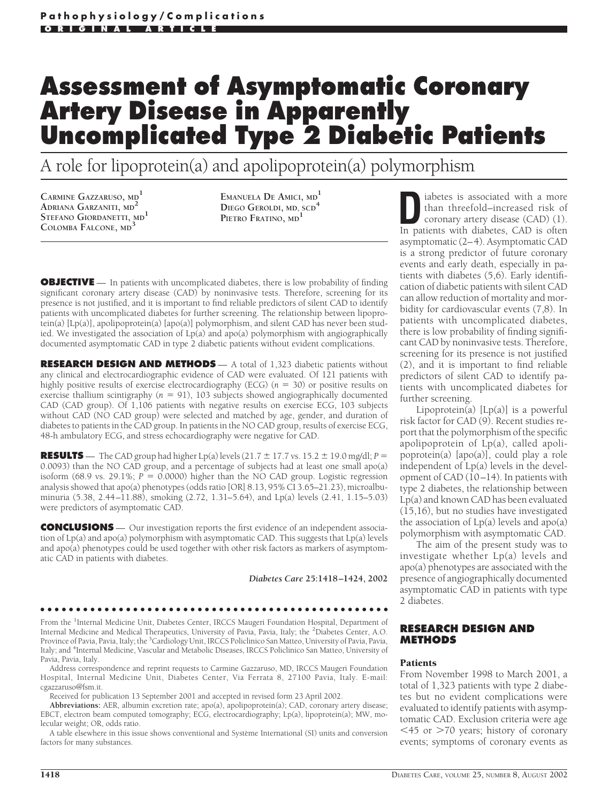# **Assessment of Asymptomatic Coronary Artery Disease in Apparently Uncomplicated Type 2 Diabetic Patients**

A role for lipoprotein(a) and apolipoprotein(a) polymorphism

**CARMINE GAZZARUSO, MD<sup>1</sup> ADRIANA GARZANITI, MD<sup>2</sup> STEFANO GIORDANETTI, MD<sup>1</sup> COLOMBA FALCONE, MD<sup>3</sup>**

**EMANUELA DE AMICI, MD<sup>1</sup> DIEGO GEROLDI, MD, SCD<sup>4</sup> PIETRO FRATINO, MD<sup>1</sup>**

**OBJECTIVE** — In patients with uncomplicated diabetes, there is low probability of finding significant coronary artery disease (CAD) by noninvasive tests. Therefore, screening for its presence is not justified, and it is important to find reliable predictors of silent CAD to identify patients with uncomplicated diabetes for further screening. The relationship between lipoprotein(a) [Lp(a)], apolipoprotein(a) [apo(a)] polymorphism, and silent CAD has never been studied. We investigated the association of  $Lp(a)$  and apo(a) polymorphism with angiographically documented asymptomatic CAD in type 2 diabetic patients without evident complications.

**RESEARCH DESIGN AND METHODS** — A total of 1,323 diabetic patients without any clinical and electrocardiographic evidence of CAD were evaluated. Of 121 patients with highly positive results of exercise electrocardiography (ECG)  $(n = 30)$  or positive results on exercise thallium scintigraphy  $(n = 91)$ , 103 subjects showed angiographically documented CAD (CAD group). Of 1,106 patients with negative results on exercise ECG, 103 subjects without CAD (NO CAD group) were selected and matched by age, gender, and duration of diabetes to patients in the CAD group. In patients in the NO CAD group, results of exercise ECG, 48-h ambulatory ECG, and stress echocardiography were negative for CAD.

**RESULTS** — The CAD group had higher Lp(a) levels (21.7  $\pm$  17.7 vs. 15.2  $\pm$  19.0 mg/dl; *P* = 0.0093) than the NO CAD group, and a percentage of subjects had at least one small apo(a) isoform (68.9 vs. 29.1%;  $P = 0.0000$ ) higher than the NO CAD group. Logistic regression analysis showed that apo(a) phenotypes (odds ratio [OR] 8.13, 95% CI 3.65–21.23), microalbuminuria (5.38, 2.44–11.88), smoking (2.72, 1.31–5.64), and Lp(a) levels (2.41, 1.15–5.03) were predictors of asymptomatic CAD.

**CONCLUSIONS** — Our investigation reports the first evidence of an independent association of Lp(a) and apo(a) polymorphism with asymptomatic CAD. This suggests that Lp(a) levels and apo(a) phenotypes could be used together with other risk factors as markers of asymptomatic CAD in patients with diabetes.

*Diabetes Care* **25:1418–1424, 2002**

#### ●●●●●●●●●●●●●●●●●●●●●●●●●●●●●●●●●●●●●●●●●●●●●●●●●

From the <sup>1</sup>Internal Medicine Unit, Diabetes Center, IRCCS Maugeri Foundation Hospital, Department of Internal Medicine and Medical Therapeutics, University of Pavia, Pavia, Italy; the <sup>2</sup>Diabetes Center, A.O. Province of Pavia, Pavia, Italy; the <sup>3</sup>Cardiology Unit, IRCCS Policlinico San Matteo, University of Pavia, Pavia, Italy; and <sup>4</sup>Internal Medicine, Vascular and Metabolic Diseases, IRCCS Policlinico San Matteo, University of Pavia, Pavia, Italy.

Address correspondence and reprint requests to Carmine Gazzaruso, MD, IRCCS Maugeri Foundation Hospital, Internal Medicine Unit, Diabetes Center, Via Ferrata 8, 27100 Pavia, Italy. E-mail: cgazzaruso@fsm.it.

Received for publication 13 September 2001 and accepted in revised form 23 April 2002.

**Abbreviations:** AER, albumin excretion rate; apo(a), apolipoprotein(a); CAD, coronary artery disease; EBCT, electron beam computed tomography; ECG, electrocardiography; Lp(a), lipoprotein(a); MW, molecular weight; OR, odds ratio.

A table elsewhere in this issue shows conventional and Système International (SI) units and conversion factors for many substances

**D**iabetes is associated with a more<br>than threefold-increased risk of<br>coronary artery disease (CAD) (1).<br>In patients with diabetes CAD is often than threefold–increased risk of coronary artery disease (CAD) (1). In patients with diabetes, CAD is often asymptomatic (2–4). Asymptomatic CAD is a strong predictor of future coronary events and early death, especially in patients with diabetes (5,6). Early identification of diabetic patients with silent CAD can allow reduction of mortality and morbidity for cardiovascular events (7,8). In patients with uncomplicated diabetes, there is low probability of finding significant CAD by noninvasive tests. Therefore, screening for its presence is not justified (2), and it is important to find reliable predictors of silent CAD to identify patients with uncomplicated diabetes for further screening.

Lipoprotein(a)  $[Lp(a)]$  is a powerful risk factor for CAD (9). Recent studies report that the polymorphism of the specific apolipoprotein of Lp(a), called apolipoprotein(a) [apo(a)], could play a role independent of Lp(a) levels in the development of CAD (10–14). In patients with type 2 diabetes, the relationship between Lp(a) and known CAD has been evaluated (15,16), but no studies have investigated the association of  $Lp(a)$  levels and  $apo(a)$ polymorphism with asymptomatic CAD.

The aim of the present study was to investigate whether Lp(a) levels and apo(a) phenotypes are associated with the presence of angiographically documented asymptomatic CAD in patients with type 2 diabetes.

#### **RESEARCH DESIGN AND METHODS**

#### **Patients**

From November 1998 to March 2001, a total of 1,323 patients with type 2 diabetes but no evident complications were evaluated to identify patients with asymptomatic CAD. Exclusion criteria were age  $15$  or  $> 70$  years; history of coronary events; symptoms of coronary events as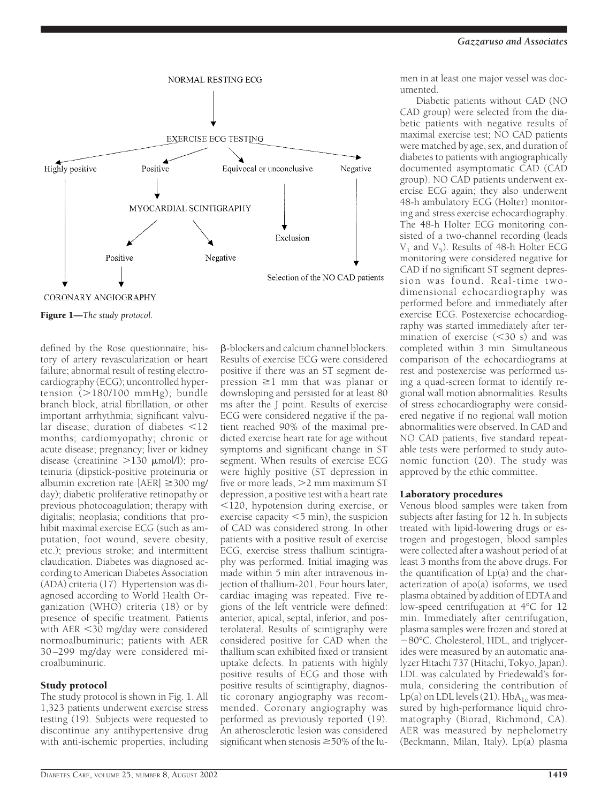

Figure 1—*The study protocol.*

defined by the Rose questionnaire; history of artery revascularization or heart failure; abnormal result of resting electrocardiography (ECG); uncontrolled hypertension  $(>180/100$  mmHg); bundle branch block, atrial fibrillation, or other important arrhythmia; significant valvular disease; duration of diabetes  $\leq 12$ months; cardiomyopathy; chronic or acute disease; pregnancy; liver or kidney disease (creatinine  $>130$  µmol/l); proteinuria (dipstick-positive proteinuria or albumin excretion rate  $[AER] \geq 300$  mg/ day); diabetic proliferative retinopathy or previous photocoagulation; therapy with digitalis; neoplasia; conditions that prohibit maximal exercise ECG (such as amputation, foot wound, severe obesity, etc.); previous stroke; and intermittent claudication. Diabetes was diagnosed according to American Diabetes Association (ADA) criteria (17). Hypertension was diagnosed according to World Health Organization (WHO) criteria (18) or by presence of specific treatment. Patients with AER 30 mg/day were considered normoalbuminuric; patients with AER 30 –299 mg/day were considered microalbuminuric.

## Study protocol

The study protocol is shown in Fig. 1. All 1,323 patients underwent exercise stress testing (19). Subjects were requested to discontinue any antihypertensive drug with anti-ischemic properties, including

-blockers and calcium channel blockers. Results of exercise ECG were considered positive if there was an ST segment depression  $\geq 1$  mm that was planar or downsloping and persisted for at least 80 ms after the J point. Results of exercise ECG were considered negative if the patient reached 90% of the maximal predicted exercise heart rate for age without symptoms and significant change in ST segment. When results of exercise ECG were highly positive (ST depression in five or more leads, 2 mm maximum ST depression, a positive test with a heart rate 120, hypotension during exercise, or exercise capacity  $<$  5 min), the suspicion of CAD was considered strong. In other patients with a positive result of exercise ECG, exercise stress thallium scintigraphy was performed. Initial imaging was made within 5 min after intravenous injection of thallium-201. Four hours later, cardiac imaging was repeated. Five regions of the left ventricle were defined: anterior, apical, septal, inferior, and posterolateral. Results of scintigraphy were considered positive for CAD when the thallium scan exhibited fixed or transient uptake defects. In patients with highly positive results of ECG and those with positive results of scintigraphy, diagnostic coronary angiography was recommended. Coronary angiography was performed as previously reported (19). An atherosclerotic lesion was considered significant when stenosis  $\geq$  50% of the lumen in at least one major vessel was documented.

Diabetic patients without CAD (NO CAD group) were selected from the diabetic patients with negative results of maximal exercise test; NO CAD patients were matched by age, sex, and duration of diabetes to patients with angiographically documented asymptomatic CAD (CAD group). NO CAD patients underwent exercise ECG again; they also underwent 48-h ambulatory ECG (Holter) monitoring and stress exercise echocardiography. The 48-h Holter ECG monitoring consisted of a two-channel recording (leads  $V_1$  and  $V_5$ ). Results of 48-h Holter ECG monitoring were considered negative for CAD if no significant ST segment depression was found. Real-time twodimensional echocardiography was performed before and immediately after exercise ECG. Postexercise echocardiography was started immediately after termination of exercise  $(< 30 \text{ s})$  and was completed within 3 min. Simultaneous comparison of the echocardiograms at rest and postexercise was performed using a quad-screen format to identify regional wall motion abnormalities. Results of stress echocardiography were considered negative if no regional wall motion abnormalities were observed. In CAD and NO CAD patients, five standard repeatable tests were performed to study autonomic function (20). The study was approved by the ethic committee.

## Laboratory procedures

Venous blood samples were taken from subjects after fasting for 12 h. In subjects treated with lipid-lowering drugs or estrogen and progestogen, blood samples were collected after a washout period of at least 3 months from the above drugs. For the quantification of Lp(a) and the characterization of apo(a) isoforms, we used plasma obtained by addition of EDTA and low-speed centrifugation at 4°C for 12 min. Immediately after centrifugation, plasma samples were frozen and stored at 80°C. Cholesterol, HDL, and triglycerides were measured by an automatic analyzer Hitachi 737 (Hitachi, Tokyo, Japan). LDL was calculated by Friedewald's formula, considering the contribution of Lp(a) on LDL levels (21). Hb $A_{1c}$  was measured by high-performance liquid chromatography (Biorad, Richmond, CA). AER was measured by nephelometry (Beckmann, Milan, Italy). Lp(a) plasma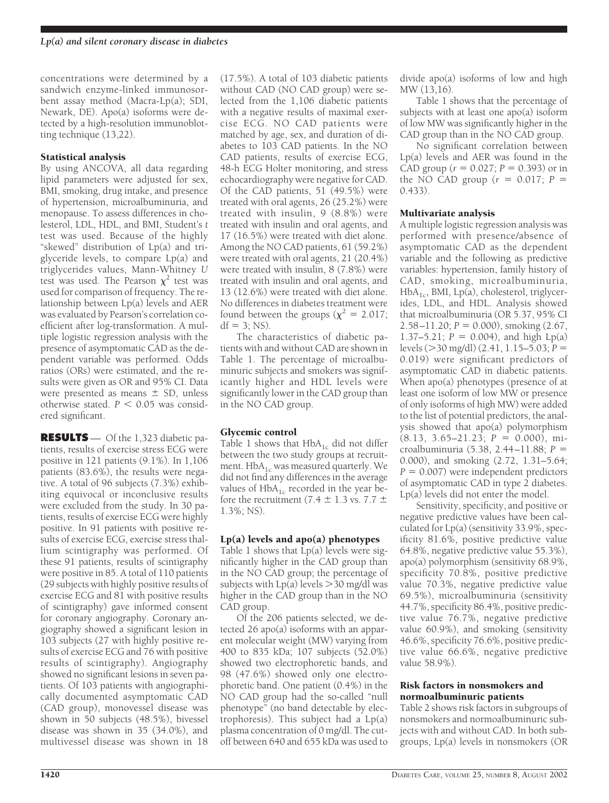concentrations were determined by a sandwich enzyme-linked immunosorbent assay method (Macra-Lp(a); SDI, Newark, DE). Apo(a) isoforms were detected by a high-resolution immunoblotting technique (13,22).

# Statistical analysis

By using ANCOVA, all data regarding lipid parameters were adjusted for sex, BMI, smoking, drug intake, and presence of hypertension, microalbuminuria, and menopause. To assess differences in cholesterol, LDL, HDL, and BMI, Student's *t* test was used. Because of the highly "skewed" distribution of Lp(a) and triglyceride levels, to compare Lp(a) and triglycerides values, Mann-Whitney *U* test was used. The Pearson  $\chi^2$  test was used for comparison of frequency. The relationship between Lp(a) levels and AER was evaluated by Pearson's correlation coefficient after log-transformation. A multiple logistic regression analysis with the presence of asymptomatic CAD as the dependent variable was performed. Odds ratios (ORs) were estimated, and the results were given as OR and 95% CI. Data were presented as means  $\pm$  SD, unless otherwise stated.  $P < 0.05$  was considered significant.

**RESULTS** — Of the 1,323 diabetic patients, results of exercise stress ECG were positive in 121 patients (9.1%). In 1,106 patients (83.6%), the results were negative. A total of 96 subjects (7.3%) exhibiting equivocal or inconclusive results were excluded from the study. In 30 patients, results of exercise ECG were highly positive. In 91 patients with positive results of exercise ECG, exercise stress thallium scintigraphy was performed. Of these 91 patients, results of scintigraphy were positive in 85. A total of 110 patients (29 subjects with highly positive results of exercise ECG and 81 with positive results of scintigraphy) gave informed consent for coronary angiography. Coronary angiography showed a significant lesion in 103 subjects (27 with highly positive results of exercise ECG and 76 with positive results of scintigraphy). Angiography showed no significant lesions in seven patients. Of 103 patients with angiographically documented asymptomatic CAD (CAD group), monovessel disease was shown in 50 subjects (48.5%), bivessel disease was shown in 35 (34.0%), and multivessel disease was shown in 18

(17.5%). A total of 103 diabetic patients without CAD (NO CAD group) were selected from the 1,106 diabetic patients with a negative results of maximal exercise ECG. NO CAD patients were matched by age, sex, and duration of diabetes to 103 CAD patients. In the NO CAD patients, results of exercise ECG, 48-h ECG Holter monitoring, and stress echocardiography were negative for CAD. Of the CAD patients, 51 (49.5%) were treated with oral agents, 26 (25.2%) were treated with insulin, 9 (8.8%) were treated with insulin and oral agents, and 17 (16.5%) were treated with diet alone. Among the NO CAD patients, 61 (59.2%) were treated with oral agents, 21 (20.4%) were treated with insulin, 8 (7.8%) were treated with insulin and oral agents, and 13 (12.6%) were treated with diet alone. No differences in diabetes treatment were found between the groups ( $\chi^2$  = 2.017;  $df = 3$ ; NS).

The characteristics of diabetic patients with and without CAD are shown in Table 1. The percentage of microalbuminuric subjects and smokers was significantly higher and HDL levels were significantly lower in the CAD group than in the NO CAD group.

# Glycemic control

Table 1 shows that  $HbA_{1c}$  did not differ between the two study groups at recruitment. HbA<sub>1c</sub> was measured quarterly. We did not find any differences in the average values of  $HbA_{1c}$  recorded in the year before the recruitment (7.4  $\pm$  1.3 vs. 7.7  $\pm$ 1.3%; NS).

# Lp(a) levels and apo(a) phenotypes

Table 1 shows that Lp(a) levels were significantly higher in the CAD group than in the NO CAD group; the percentage of subjects with  $Lp(a)$  levels  $>$ 30 mg/dl was higher in the CAD group than in the NO CAD group.

Of the 206 patients selected, we detected 26 apo(a) isoforms with an apparent molecular weight (MW) varying from 400 to 835 kDa; 107 subjects (52.0%) showed two electrophoretic bands, and 98 (47.6%) showed only one electrophoretic band. One patient (0.4%) in the NO CAD group had the so-called "null phenotype" (no band detectable by electrophoresis). This subject had a Lp(a) plasma concentration of 0 mg/dl. The cutoff between 640 and 655 kDa was used to divide apo(a) isoforms of low and high MW (13,16).

Table 1 shows that the percentage of subjects with at least one apo(a) isoform of low MW was significantly higher in the CAD group than in the NO CAD group.

No significant correlation between Lp(a) levels and AER was found in the CAD group ( $r = 0.027$ ;  $P = 0.393$ ) or in the NO CAD group  $(r = 0.017; P =$ 0.433).

# Multivariate analysis

A multiple logistic regression analysis was performed with presence/absence of asymptomatic CAD as the dependent variable and the following as predictive variables: hypertension, family history of CAD, smoking, microalbuminuria,  $HbA<sub>1c</sub>$ , BMI, Lp(a), cholesterol, triglycerides, LDL, and HDL. Analysis showed that microalbuminuria (OR 5.37, 95% CI  $2.58 - 11.20$ ;  $P = 0.000$ ), smoking (2.67, 1.37–5.21;  $P = 0.004$ ), and high Lp(a) levels (30 mg/dl) (2.41, 1.15–5.03; *P* 0.019) were significant predictors of asymptomatic CAD in diabetic patients. When apo(a) phenotypes (presence of at least one isoform of low MW or presence of only isoforms of high MW) were added to the list of potential predictors, the analysis showed that apo(a) polymorphism  $(8.13, 3.65 - 21.23; P = 0.000)$ , microalbuminuria (5.38, 2.44–11.88; *P* 0.000), and smoking (2.72, 1.31–5.64;  $P = 0.007$ ) were independent predictors of asymptomatic CAD in type 2 diabetes. Lp(a) levels did not enter the model.

Sensitivity, specificity, and positive or negative predictive values have been calculated for Lp(a) (sensitivity 33.9%, specificity 81.6%, positive predictive value 64.8%, negative predictive value 55.3%), apo(a) polymorphism (sensitivity 68.9%, specificity 70.8%, positive predictive value 70.3%, negative predictive value 69.5%), microalbuminuria (sensitivity 44.7%, specificity 86.4%, positive predictive value 76.7%, negative predictive value 60.9%), and smoking (sensitivity 46.6%, specificity 76.6%, positive predictive value 66.6%, negative predictive value 58.9%).

## Risk factors in nonsmokers and normoalbuminuric patients

Table 2 shows risk factors in subgroups of nonsmokers and normoalbuminuric subjects with and without CAD. In both subgroups, Lp(a) levels in nonsmokers (OR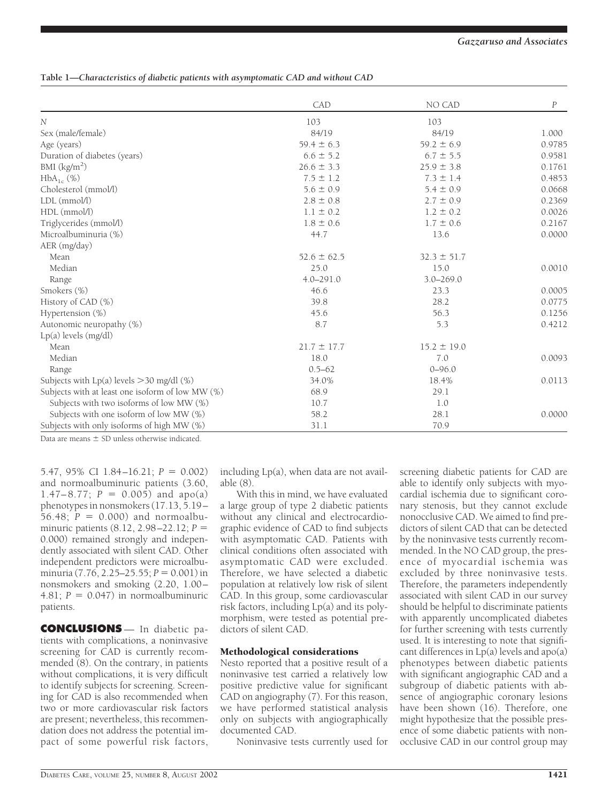# **Table 1—***Characteristics of diabetic patients with asymptomatic CAD and without CAD*

|                                                  | CAD             | NO CAD          | $\boldsymbol{P}$ |
|--------------------------------------------------|-----------------|-----------------|------------------|
| $\overline{N}$                                   | 103             | 103             |                  |
| Sex (male/female)                                | 84/19           | 84/19           | 1.000            |
| Age (years)                                      | $59.4 \pm 6.3$  | $59.2 \pm 6.9$  | 0.9785           |
| Duration of diabetes (years)                     | $6.6 \pm 5.2$   | $6.7 \pm 5.5$   | 0.9581           |
| BMI $\frac{\text{kg}}{\text{m}^2}$               | $26.6 \pm 3.3$  | $25.9 \pm 3.8$  | 0.1761           |
| $HbA_{1c}$ (%)                                   | $7.5 \pm 1.2$   | $7.3 \pm 1.4$   | 0.4853           |
| Cholesterol (mmol/l)                             | $5.6 \pm 0.9$   | $5.4 \pm 0.9$   | 0.0668           |
| LDL (mmol/l)                                     | $2.8 \pm 0.8$   | $2.7 \pm 0.9$   | 0.2369           |
| $HDL$ (mmol/l)                                   | $1.1 \pm 0.2$   | $1.2 \pm 0.2$   | 0.0026           |
| Triglycerides (mmol/l)                           | $1.8 \pm 0.6$   | $1.7 \pm 0.6$   | 0.2167           |
| Microalbuminuria (%)                             | 44.7            | 13.6            | 0.0000           |
| AER (mg/day)                                     |                 |                 |                  |
| Mean                                             | $52.6 \pm 62.5$ | $32.3 \pm 51.7$ |                  |
| Median                                           | 25.0            | 15.0            | 0.0010           |
| Range                                            | $4.0 - 291.0$   | $3.0 - 269.0$   |                  |
| Smokers (%)                                      | 46.6            | 23.3            | 0.0005           |
| History of CAD (%)                               | 39.8            | 28.2            | 0.0775           |
| Hypertension (%)                                 | 45.6            | 56.3            | 0.1256           |
| Autonomic neuropathy (%)                         | 8.7             | 5.3             | 0.4212           |
| Lp(a) levels (mg/dl)                             |                 |                 |                  |
| Mean                                             | $21.7 \pm 17.7$ | $15.2 \pm 19.0$ |                  |
| Median                                           | 18.0            | 7.0             | 0.0093           |
| Range                                            | $0.5 - 62$      | $0 - 96.0$      |                  |
| Subjects with $Lp(a)$ levels $>$ 30 mg/dl (%)    | 34.0%           | 18.4%           | 0.0113           |
| Subjects with at least one isoform of low MW (%) | 68.9            | 29.1            |                  |
| Subjects with two isoforms of low MW (%)         | 10.7            | 1.0             |                  |
| Subjects with one isoform of low MW (%)          | 58.2            | 28.1            | 0.0000           |
| Subjects with only isoforms of high MW (%)       | 31.1            | 70.9            |                  |

Data are means  $\pm$  SD unless otherwise indicated.

5.47, 95% CI 1.84 $-16.21$ ;  $P = 0.002$ ) and normoalbuminuric patients (3.60, 1.47–8.77;  $P = 0.005$ ) and apo(a) phenotypes in nonsmokers (17.13, 5.19–  $56.48; P = 0.000$  and normoalbuminuric patients (8.12, 2.98–22.12; *P* 0.000) remained strongly and independently associated with silent CAD. Other independent predictors were microalbuminuria  $(7.76, 2.25 - 25.55; P = 0.001)$  in nonsmokers and smoking (2.20, 1.00– 4.81;  $P = 0.047$ ) in normoalbuminuric patients.

**CONCLUSIONS** — In diabetic patients with complications, a noninvasive screening for CAD is currently recommended (8). On the contrary, in patients without complications, it is very difficult to identify subjects for screening. Screening for CAD is also recommended when two or more cardiovascular risk factors are present; nevertheless, this recommendation does not address the potential impact of some powerful risk factors,

including Lp(a), when data are not available (8).

With this in mind, we have evaluated a large group of type 2 diabetic patients without any clinical and electrocardiographic evidence of CAD to find subjects with asymptomatic CAD. Patients with clinical conditions often associated with asymptomatic CAD were excluded. Therefore, we have selected a diabetic population at relatively low risk of silent CAD. In this group, some cardiovascular risk factors, including Lp(a) and its polymorphism, were tested as potential predictors of silent CAD.

## Methodological considerations

Nesto reported that a positive result of a noninvasive test carried a relatively low positive predictive value for significant CAD on angiography (7). For this reason, we have performed statistical analysis only on subjects with angiographically documented CAD.

Noninvasive tests currently used for

screening diabetic patients for CAD are able to identify only subjects with myocardial ischemia due to significant coronary stenosis, but they cannot exclude nonocclusive CAD. We aimed to find predictors of silent CAD that can be detected by the noninvasive tests currently recommended. In the NO CAD group, the presence of myocardial ischemia was excluded by three noninvasive tests. Therefore, the parameters independently associated with silent CAD in our survey should be helpful to discriminate patients with apparently uncomplicated diabetes for further screening with tests currently used. It is interesting to note that significant differences in  $Lp(a)$  levels and  $apo(a)$ phenotypes between diabetic patients with significant angiographic CAD and a subgroup of diabetic patients with absence of angiographic coronary lesions have been shown (16). Therefore, one might hypothesize that the possible presence of some diabetic patients with nonocclusive CAD in our control group may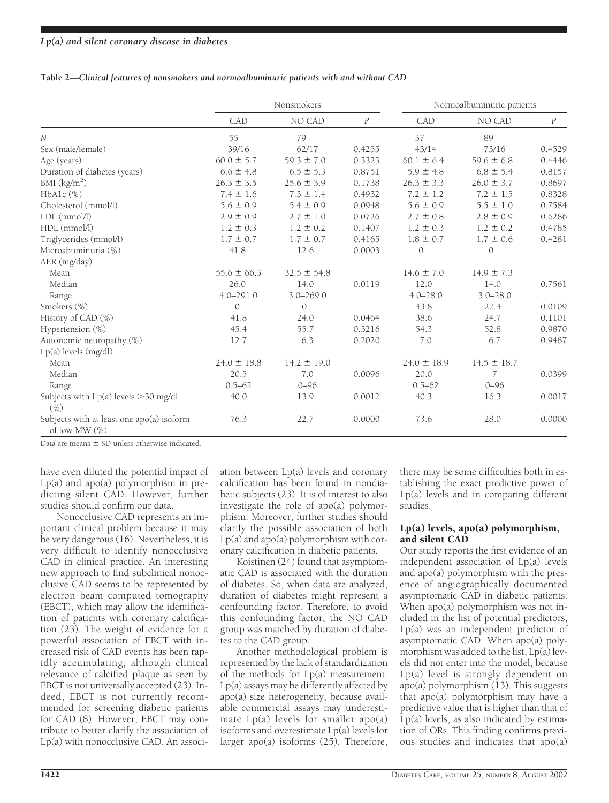|  | Table 2-Clinical features of nonsmokers and normoalbuminuric patients with and without CAD |  |
|--|--------------------------------------------------------------------------------------------|--|
|  |                                                                                            |  |

|                                                              | Nonsmokers      |                 |          | Normoalbuminuric patients |                 |                  |
|--------------------------------------------------------------|-----------------|-----------------|----------|---------------------------|-----------------|------------------|
|                                                              | CAD             | NO CAD          | $\cal P$ | CAD                       | NO CAD          | $\boldsymbol{P}$ |
| $\overline{N}$                                               | 55              | 79              |          | 57                        | 89              |                  |
| Sex (male/female)                                            | 39/16           | 62/17           | 0.4255   | 43/14                     | 73/16           | 0.4529           |
| Age (years)                                                  | $60.0 \pm 5.7$  | $59.3 \pm 7.0$  | 0.3323   | $60.1 \pm 6.4$            | $59.6 \pm 6.8$  | 0.4446           |
| Duration of diabetes (years)                                 | $6.6 \pm 4.8$   | $6.5 \pm 5.3$   | 0.8751   | $5.9 \pm 4.8$             | $6.8 \pm 5.4$   | 0.8157           |
| BMI $(kg/m2)$                                                | $26.3 \pm 3.5$  | $25.6 \pm 3.9$  | 0.1738   | $26.3 \pm 3.3$            | $26.0 \pm 3.7$  | 0.8697           |
| $HbA1c$ $(\%)$                                               | $7.4 \pm 1.6$   | $7.3 \pm 1.4$   | 0.4932   | $7.2 \pm 1.2$             | $7.2 \pm 1.5$   | 0.8328           |
| Cholesterol (mmol/l)                                         | $5.6 \pm 0.9$   | $5.4 \pm 0.9$   | 0.0948   | $5.6 \pm 0.9$             | $5.5 \pm 1.0$   | 0.7584           |
| $LDL$ ( $mmol/l$ )                                           | $2.9 \pm 0.9$   | $2.7 \pm 1.0$   | 0.0726   | $2.7 \pm 0.8$             | $2.8 \pm 0.9$   | 0.6286           |
| HDL (mmol/l)                                                 | $1.2 \pm 0.3$   | $1.2 \pm 0.2$   | 0.1407   | $1.2 \pm 0.3$             | $1.2 \pm 0.2$   | 0.4785           |
| Triglycerides (mmol/l)                                       | $1.7 \pm 0.7$   | $1.7 \pm 0.7$   | 0.4165   | $1.8 \pm 0.7$             | $1.7 \pm 0.6$   | 0.4281           |
| Microabuminuria (%)                                          | 41.8            | 12.6            | 0.0003   | $\mathcal{O}$             | $\mathcal{O}$   |                  |
| AER (mg/day)                                                 |                 |                 |          |                           |                 |                  |
| Mean                                                         | $55.6 \pm 66.3$ | $32.5 \pm 54.8$ |          | $14.6 \pm 7.0$            | $14.9 \pm 7.3$  |                  |
| Median                                                       | 26.0            | 14.0            | 0.0119   | 12.0                      | 14.0            | 0.7561           |
| Range                                                        | $4.0 - 291.0$   | $3.0 - 269.0$   |          | $4.0 - 28.0$              | $3.0 - 28.0$    |                  |
| Smokers (%)                                                  | $\Omega$        | $\Omega$        |          | 43.8                      | 22.4            | 0.0109           |
| History of CAD (%)                                           | 41.8            | 24.0            | 0.0464   | 38.6                      | 24.7            | 0.1101           |
| Hypertension (%)                                             | 45.4            | 55.7            | 0.3216   | 54.3                      | 52.8            | 0.9870           |
| Autonomic neuropathy (%)                                     | 12.7            | 6.3             | 0.2020   | 7.0                       | 6.7             | 0.9487           |
| Lp(a) levels (mg/dl)                                         |                 |                 |          |                           |                 |                  |
| Mean                                                         | $24.0 \pm 18.8$ | $14.2 \pm 19.0$ |          | $24.0 \pm 18.9$           | $14.5 \pm 18.7$ |                  |
| Median                                                       | 20.5            | 7.0             | 0.0096   | 20.0                      | 7               | 0.0399           |
| Range                                                        | $0.5 - 62$      | $0 - 96$        |          | $0.5 - 62$                | $0 - 96$        |                  |
| Subjects with $Lp(a)$ levels $>$ 30 mg/dl<br>(% )            | 40.0            | 13.9            | 0.0012   | 40.3                      | 16.3            | 0.0017           |
| Subjects with at least one apo(a) isoform<br>of low MW $(%)$ | 76.3            | 22.7            | 0.0000   | 73.6                      | 28.0            | 0.0000           |

Data are means  $\pm$  SD unless otherwise indicated.

have even diluted the potential impact of Lp(a) and apo(a) polymorphism in predicting silent CAD. However, further studies should confirm our data.

Nonocclusive CAD represents an important clinical problem because it may be very dangerous (16). Nevertheless, it is very difficult to identify nonocclusive CAD in clinical practice. An interesting new approach to find subclinical nonocclusive CAD seems to be represented by electron beam computed tomography (EBCT), which may allow the identification of patients with coronary calcification (23). The weight of evidence for a powerful association of EBCT with increased risk of CAD events has been rapidly accumulating, although clinical relevance of calcified plaque as seen by EBCT is not universally accepted (23). Indeed, EBCT is not currently recommended for screening diabetic patients for CAD (8). However, EBCT may contribute to better clarify the association of Lp(a) with nonocclusive CAD. An association between Lp(a) levels and coronary calcification has been found in nondiabetic subjects (23). It is of interest to also investigate the role of apo(a) polymorphism. Moreover, further studies should clarify the possible association of both Lp(a) and apo(a) polymorphism with coronary calcification in diabetic patients.

Koistinen (24) found that asymptomatic CAD is associated with the duration of diabetes. So, when data are analyzed, duration of diabetes might represent a confounding factor. Therefore, to avoid this confounding factor, the NO CAD group was matched by duration of diabetes to the CAD group.

Another methodological problem is represented by the lack of standardization of the methods for Lp(a) measurement. Lp(a) assays may be differently affected by apo(a) size heterogeneity, because available commercial assays may underestimate  $Lp(a)$  levels for smaller apo $(a)$ isoforms and overestimate Lp(a) levels for larger apo(a) isoforms  $(25)$ . Therefore, there may be some difficulties both in establishing the exact predictive power of Lp(a) levels and in comparing different studies.

# Lp(a) levels, apo(a) polymorphism, and silent CAD

Our study reports the first evidence of an independent association of Lp(a) levels and apo(a) polymorphism with the presence of angiographically documented asymptomatic CAD in diabetic patients. When apo(a) polymorphism was not included in the list of potential predictors, Lp(a) was an independent predictor of asymptomatic CAD. When apo(a) polymorphism was added to the list, Lp(a) levels did not enter into the model, because Lp(a) level is strongly dependent on apo(a) polymorphism (13). This suggests that apo(a) polymorphism may have a predictive value that is higher than that of  $Lp(a)$  levels, as also indicated by estimation of ORs. This finding confirms previous studies and indicates that apo(a)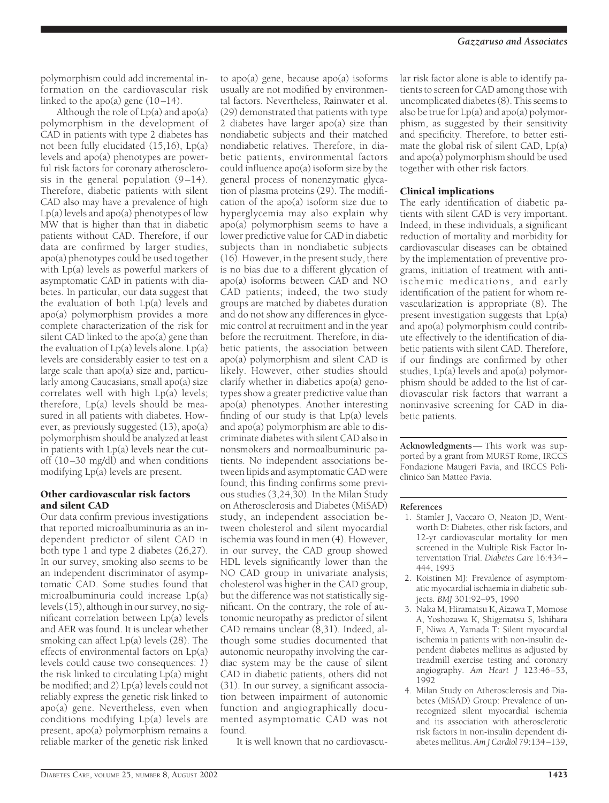polymorphism could add incremental information on the cardiovascular risk linked to the apo(a) gene  $(10-14)$ .

Although the role of  $Lp(a)$  and  $apo(a)$ polymorphism in the development of CAD in patients with type 2 diabetes has not been fully elucidated (15,16), Lp(a) levels and apo(a) phenotypes are powerful risk factors for coronary atherosclerosis in the general population  $(9-14)$ . Therefore, diabetic patients with silent CAD also may have a prevalence of high  $Lp(a)$  levels and apo(a) phenotypes of low MW that is higher than that in diabetic patients without CAD. Therefore, if our data are confirmed by larger studies, apo(a) phenotypes could be used together with Lp(a) levels as powerful markers of asymptomatic CAD in patients with diabetes. In particular, our data suggest that the evaluation of both Lp(a) levels and apo(a) polymorphism provides a more complete characterization of the risk for silent CAD linked to the apo(a) gene than the evaluation of  $Lp(a)$  levels alone.  $Lp(a)$ levels are considerably easier to test on a large scale than apo(a) size and, particularly among Caucasians, small apo(a) size correlates well with high Lp(a) levels; therefore, Lp(a) levels should be measured in all patients with diabetes. However, as previously suggested (13), apo(a) polymorphism should be analyzed at least in patients with Lp(a) levels near the cutoff (10–30 mg/dl) and when conditions modifying Lp(a) levels are present.

## Other cardiovascular risk factors and silent CAD

Our data confirm previous investigations that reported microalbuminuria as an independent predictor of silent CAD in both type 1 and type 2 diabetes (26,27). In our survey, smoking also seems to be an independent discriminator of asymptomatic CAD. Some studies found that microalbuminuria could increase Lp(a) levels (15), although in our survey, no significant correlation between Lp(a) levels and AER was found. It is unclear whether smoking can affect Lp(a) levels (28). The effects of environmental factors on Lp(a) levels could cause two consequences: *1*) the risk linked to circulating Lp(a) might be modified; and *2*) Lp(a) levels could not reliably express the genetic risk linked to apo(a) gene. Nevertheless, even when conditions modifying Lp(a) levels are present, apo(a) polymorphism remains a reliable marker of the genetic risk linked

to apo(a) gene, because apo(a) isoforms usually are not modified by environmental factors. Nevertheless, Rainwater et al. (29) demonstrated that patients with type 2 diabetes have larger apo(a) size than nondiabetic subjects and their matched nondiabetic relatives. Therefore, in diabetic patients, environmental factors could influence apo(a) isoform size by the general process of nonenzymatic glycation of plasma proteins (29). The modification of the apo(a) isoform size due to hyperglycemia may also explain why apo(a) polymorphism seems to have a lower predictive value for CAD in diabetic subjects than in nondiabetic subjects (16). However, in the present study, there is no bias due to a different glycation of apo(a) isoforms between CAD and NO CAD patients; indeed, the two study groups are matched by diabetes duration and do not show any differences in glycemic control at recruitment and in the year before the recruitment. Therefore, in diabetic patients, the association between apo(a) polymorphism and silent CAD is likely. However, other studies should clarify whether in diabetics apo(a) genotypes show a greater predictive value than apo(a) phenotypes. Another interesting finding of our study is that Lp(a) levels and apo(a) polymorphism are able to discriminate diabetes with silent CAD also in nonsmokers and normoalbuminuric patients. No independent associations between lipids and asymptomatic CAD were found; this finding confirms some previous studies (3,24,30). In the Milan Study on Atherosclerosis and Diabetes (MiSAD) study, an independent association between cholesterol and silent myocardial ischemia was found in men (4). However, in our survey, the CAD group showed HDL levels significantly lower than the NO CAD group in univariate analysis; cholesterol was higher in the CAD group, but the difference was not statistically significant. On the contrary, the role of autonomic neuropathy as predictor of silent CAD remains unclear (8,31). Indeed, although some studies documented that autonomic neuropathy involving the cardiac system may be the cause of silent CAD in diabetic patients, others did not (31). In our survey, a significant association between impairment of autonomic function and angiographically documented asymptomatic CAD was not found.

It is well known that no cardiovascu-

lar risk factor alone is able to identify patients to screen for CAD among those with uncomplicated diabetes (8). This seems to also be true for  $Lp(a)$  and apo $(a)$  polymorphism, as suggested by their sensitivity and specificity. Therefore, to better estimate the global risk of silent CAD, Lp(a) and apo(a) polymorphism should be used together with other risk factors.

# Clinical implications

The early identification of diabetic patients with silent CAD is very important. Indeed, in these individuals, a significant reduction of mortality and morbidity for cardiovascular diseases can be obtained by the implementation of preventive programs, initiation of treatment with antiischemic medications, and early identification of the patient for whom revascularization is appropriate (8). The present investigation suggests that Lp(a) and apo(a) polymorphism could contribute effectively to the identification of diabetic patients with silent CAD. Therefore, if our findings are confirmed by other studies, Lp(a) levels and apo(a) polymorphism should be added to the list of cardiovascular risk factors that warrant a noninvasive screening for CAD in diabetic patients.

**Acknowledgments**— This work was supported by a grant from MURST Rome, IRCCS Fondazione Maugeri Pavia, and IRCCS Policlinico San Matteo Pavia.

#### **References**

- 1. Stamler J, Vaccaro O, Neaton JD, Wentworth D: Diabetes, other risk factors, and 12-yr cardiovascular mortality for men screened in the Multiple Risk Factor Interventation Trial. *Diabetes Care* 16:434– 444, 1993
- 2. Koistinen MJ: Prevalence of asymptomatic myocardial ischaemia in diabetic subjects. *BMJ* 301:92–95, 1990
- 3. Naka M, Hiramatsu K, Aizawa T, Momose A, Yoshozawa K, Shigematsu S, Ishihara F, Niwa A, Yamada T: Silent myocardial ischemia in patients with non-insulin dependent diabetes mellitus as adjusted by treadmill exercise testing and coronary angiography. *Am Heart J* 123:46–53, 1992
- 4. Milan Study on Atherosclerosis and Diabetes (MiSAD) Group: Prevalence of unrecognized silent myocardial ischemia and its association with atherosclerotic risk factors in non-insulin dependent diabetes mellitus. *Am J Cardiol* 79:134–139,